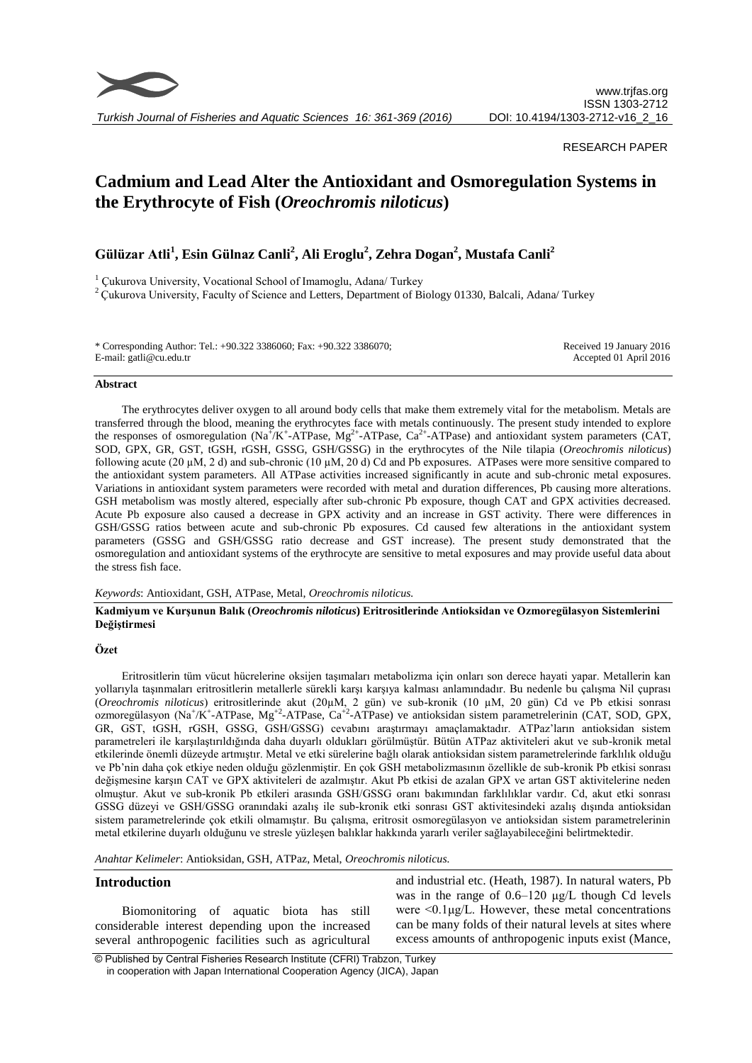

*Turkish Journal of Fisheries and Aquatic Sciences 16: 361-369 (2016)*

## RESEARCH PAPER

# **Cadmium and Lead Alter the Antioxidant and Osmoregulation Systems in the Erythrocyte of Fish (***Oreochromis niloticus***)**

## **Gülüzar Atli 1 , Esin Gülnaz Canli 2 , Ali Eroglu<sup>2</sup> , Zehra Dogan<sup>2</sup> , Mustafa Canli 2**

<sup>1</sup> Cukurova University, Vocational School of Imamoglu, Adana/ Turkey

<sup>2</sup> Çukurova University, Faculty of Science and Letters, Department of Biology 01330, Balcali, Adana/ Turkey

| * Corresponding Author: Tel.: +90.322 3386060; Fax: +90.322 3386070; | Received 19 January 2016 |
|----------------------------------------------------------------------|--------------------------|
| E-mail: gatli@cu.edu.tr                                              | Accepted 01 April 2016   |

#### **Abstract**

The erythrocytes deliver oxygen to all around body cells that make them extremely vital for the metabolism. Metals are transferred through the blood, meaning the erythrocytes face with metals continuously. The present study intended to explore the responses of osmoregulation  $(Na^+/K^+ATPase, Mg^{2+}-ATPase, Ca^{2+}-ATPase)$  and antioxidant system parameters (CAT, SOD, GPX, GR, GST, tGSH, rGSH, GSSG, GSH/GSSG) in the erythrocytes of the Nile tilapia (*Oreochromis niloticus*) following acute (20  $\mu$ M, 2 d) and sub-chronic (10  $\mu$ M, 20 d) Cd and Pb exposures. ATPases were more sensitive compared to the antioxidant system parameters. All ATPase activities increased significantly in acute and sub-chronic metal exposures. Variations in antioxidant system parameters were recorded with metal and duration differences, Pb causing more alterations. GSH metabolism was mostly altered, especially after sub-chronic Pb exposure, though CAT and GPX activities decreased. Acute Pb exposure also caused a decrease in GPX activity and an increase in GST activity. There were differences in GSH/GSSG ratios between acute and sub-chronic Pb exposures. Cd caused few alterations in the antioxidant system parameters (GSSG and GSH/GSSG ratio decrease and GST increase). The present study demonstrated that the osmoregulation and antioxidant systems of the erythrocyte are sensitive to metal exposures and may provide useful data about the stress fish face.

#### *Keywords*: Antioxidant, GSH, ATPase, Metal, *Oreochromis niloticus.*

## **Kadmiyum ve Kurşunun Balık (***Oreochromis niloticus***) Eritrositlerinde Antioksidan ve Ozmoregülasyon Sistemlerini Değiştirmesi**

## **Özet**

Eritrositlerin tüm vücut hücrelerine oksijen taşımaları metabolizma için onları son derece hayati yapar. Metallerin kan yollarıyla taşınmaları eritrositlerin metallerle sürekli karşı karşıya kalması anlamındadır. Bu nedenle bu çalışma Nil çuprası (*Oreochromis niloticus*) eritrositlerinde akut (20µM, 2 gün) ve sub-kronik (10 µM, 20 gün) Cd ve Pb etkisi sonrası ozmoregülasyon (Na<sup>+</sup>/K<sup>+</sup>-ATPase, Mg<sup>+2</sup>-ATPase, Ca<sup>+2</sup>-ATPase) ve antioksidan sistem parametrelerinin (CAT, SOD, GPX, GR, GST, tGSH, rGSH, GSSG, GSH/GSSG) cevabını araştırmayı amaçlamaktadır. ATPaz'ların antioksidan sistem parametreleri ile karşılaştırıldığında daha duyarlı oldukları görülmüştür. Bütün ATPaz aktiviteleri akut ve sub-kronik metal etkilerinde önemli düzeyde artmıştır. Metal ve etki sürelerine bağlı olarak antioksidan sistem parametrelerinde farklılık olduğu ve Pb'nin daha çok etkiye neden olduğu gözlenmiştir. En çok GSH metabolizmasının özellikle de sub-kronik Pb etkisi sonrası değişmesine karşın CAT ve GPX aktiviteleri de azalmıştır. Akut Pb etkisi de azalan GPX ve artan GST aktivitelerine neden olmuştur. Akut ve sub-kronik Pb etkileri arasında GSH/GSSG oranı bakımından farklılıklar vardır. Cd, akut etki sonrası GSSG düzeyi ve GSH/GSSG oranındaki azalış ile sub-kronik etki sonrası GST aktivitesindeki azalış dışında antioksidan sistem parametrelerinde çok etkili olmamıştır. Bu çalışma, eritrosit osmoregülasyon ve antioksidan sistem parametrelerinin metal etkilerine duyarlı olduğunu ve stresle yüzleşen balıklar hakkında yararlı veriler sağlayabileceğini belirtmektedir.

*Anahtar Kelimeler*: Antioksidan, GSH, ATPaz, Metal, *Oreochromis niloticus.*

## **Introduction**

Biomonitoring of aquatic biota has still considerable interest depending upon the increased several anthropogenic facilities such as agricultural

and industrial etc. (Heath, 1987). In natural waters, Pb was in the range of 0.6–120 μg/L though Cd levels were  $\leq 0.1 \mu g/L$ . However, these metal concentrations can be many folds of their natural levels at sites where excess amounts of anthropogenic inputs exist (Mance,

© Published by Central Fisheries Research Institute (CFRI) Trabzon, Turkey in cooperation with Japan International Cooperation Agency (JICA), Japan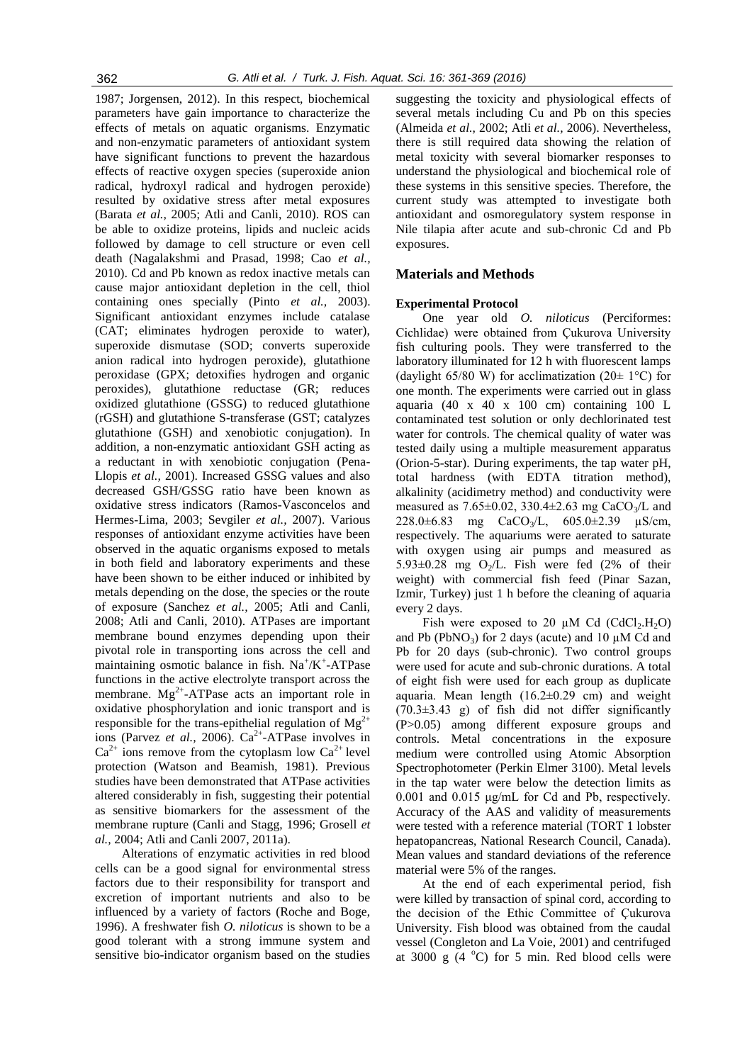1987; Jorgensen, 2012). In this respect, biochemical parameters have gain importance to characterize the effects of metals on aquatic organisms. Enzymatic and non-enzymatic parameters of antioxidant system have significant functions to prevent the hazardous effects of reactive oxygen species (superoxide anion radical, hydroxyl radical and hydrogen peroxide) resulted by oxidative stress after metal exposures (Barata *et al.,* 2005; Atli and Canli, 2010). ROS can be able to oxidize proteins, lipids and nucleic acids followed by damage to cell structure or even cell death (Nagalakshmi and Prasad, 1998; Cao *et al.,* 2010). Cd and Pb known as redox inactive metals can cause major antioxidant depletion in the cell, thiol containing ones specially (Pinto *et al.,* 2003). Significant antioxidant enzymes include catalase (CAT; eliminates hydrogen peroxide to water), superoxide dismutase (SOD; converts superoxide anion radical into hydrogen peroxide), glutathione peroxidase (GPX; detoxifies hydrogen and organic peroxides), glutathione reductase (GR; reduces oxidized glutathione (GSSG) to reduced glutathione (rGSH) and glutathione S-transferase (GST; catalyzes glutathione (GSH) and xenobiotic conjugation). In addition, a non-enzymatic antioxidant GSH acting as a reductant in with xenobiotic conjugation (Pena-Llopis *et al.,* 2001). Increased GSSG values and also decreased GSH/GSSG ratio have been known as oxidative stress indicators (Ramos-Vasconcelos and Hermes-Lima, 2003; Sevgiler *et al.,* 2007). Various responses of antioxidant enzyme activities have been observed in the aquatic organisms exposed to metals in both field and laboratory experiments and these have been shown to be either induced or inhibited by metals depending on the dose, the species or the route of exposure (Sanchez *et al.,* 2005; Atli and Canli, 2008; Atli and Canli, 2010). ATPases are important membrane bound enzymes depending upon their pivotal role in transporting ions across the cell and maintaining osmotic balance in fish.  $Na^+/K^+$ -ATPase functions in the active electrolyte transport across the membrane.  $Mg^{2+}$ -ATPase acts an important role in oxidative phosphorylation and ionic transport and is responsible for the trans-epithelial regulation of  $Mg^{2+}$ ions (Parvez *et al.*, 2006). Ca<sup>2+</sup>-ATPase involves in  $Ca^{2+}$  ions remove from the cytoplasm low  $Ca^{2+}$  level protection (Watson and Beamish, 1981). Previous studies have been demonstrated that ATPase activities altered considerably in fish, suggesting their potential as sensitive biomarkers for the assessment of the membrane rupture (Canli and Stagg, 1996; Grosell *et al.,* 2004; Atli and Canli 2007, 2011a).

Alterations of enzymatic activities in red blood cells can be a good signal for environmental stress factors due to their responsibility for transport and excretion of important nutrients and also to be influenced by a variety of factors (Roche and Boge, 1996). A freshwater fish *O. niloticus* is shown to be a good tolerant with a strong immune system and sensitive bio-indicator organism based on the studies

suggesting the toxicity and physiological effects of several metals including Cu and Pb on this species (Almeida *et al.,* 2002; Atli *et al.,* 2006). Nevertheless, there is still required data showing the relation of metal toxicity with several biomarker responses to understand the physiological and biochemical role of these systems in this sensitive species. Therefore, the current study was attempted to investigate both antioxidant and osmoregulatory system response in Nile tilapia after acute and sub-chronic Cd and Pb exposures.

## **Materials and Methods**

#### **Experimental Protocol**

One year old *O. niloticus* (Perciformes: Cichlidae) were obtained from Çukurova University fish culturing pools. They were transferred to the laboratory illuminated for 12 h with fluorescent lamps (daylight 65/80 W) for acclimatization (20 $\pm$  1°C) for one month. The experiments were carried out in glass aquaria (40 x 40 x 100 cm) containing 100 L contaminated test solution or only dechlorinated test water for controls. The chemical quality of water was tested daily using a multiple measurement apparatus (Orion-5-star). During experiments, the tap water pH, total hardness (with EDTA titration method), alkalinity (acidimetry method) and conductivity were measured as 7.65 $\pm$ 0.02, 330.4 $\pm$ 2.63 mg CaCO<sub>3</sub>/L and 228.0 $\pm$ 6.83 mg CaCO<sub>3</sub>/L, 605.0 $\pm$ 2.39  $\mu$ S/cm, respectively. The aquariums were aerated to saturate with oxygen using air pumps and measured as 5.93 $\pm$ 0.28 mg O<sub>2</sub>/L. Fish were fed (2% of their weight) with commercial fish feed (Pinar Sazan, Izmir, Turkey) just 1 h before the cleaning of aquaria every 2 days.

Fish were exposed to 20  $\mu$ M Cd (CdCl<sub>2</sub>.H<sub>2</sub>O) and Pb ( $PbNO_3$ ) for 2 days (acute) and 10  $\mu$ M Cd and Pb for 20 days (sub-chronic). Two control groups were used for acute and sub-chronic durations. A total of eight fish were used for each group as duplicate aquaria. Mean length (16.2±0.29 cm) and weight  $(70.3\pm3.43 \text{ g})$  of fish did not differ significantly (P>0.05) among different exposure groups and controls. Metal concentrations in the exposure medium were controlled using Atomic Absorption Spectrophotometer (Perkin Elmer 3100). Metal levels in the tap water were below the detection limits as 0.001 and 0.015 μg/mL for Cd and Pb, respectively. Accuracy of the AAS and validity of measurements were tested with a reference material (TORT 1 lobster hepatopancreas, National Research Council, Canada). Mean values and standard deviations of the reference material were 5% of the ranges.

At the end of each experimental period, fish were killed by transaction of spinal cord, according to the decision of the Ethic Committee of Çukurova University. Fish blood was obtained from the caudal vessel (Congleton and La Voie, 2001) and centrifuged at 3000 g  $(4 \text{ °C})$  for 5 min. Red blood cells were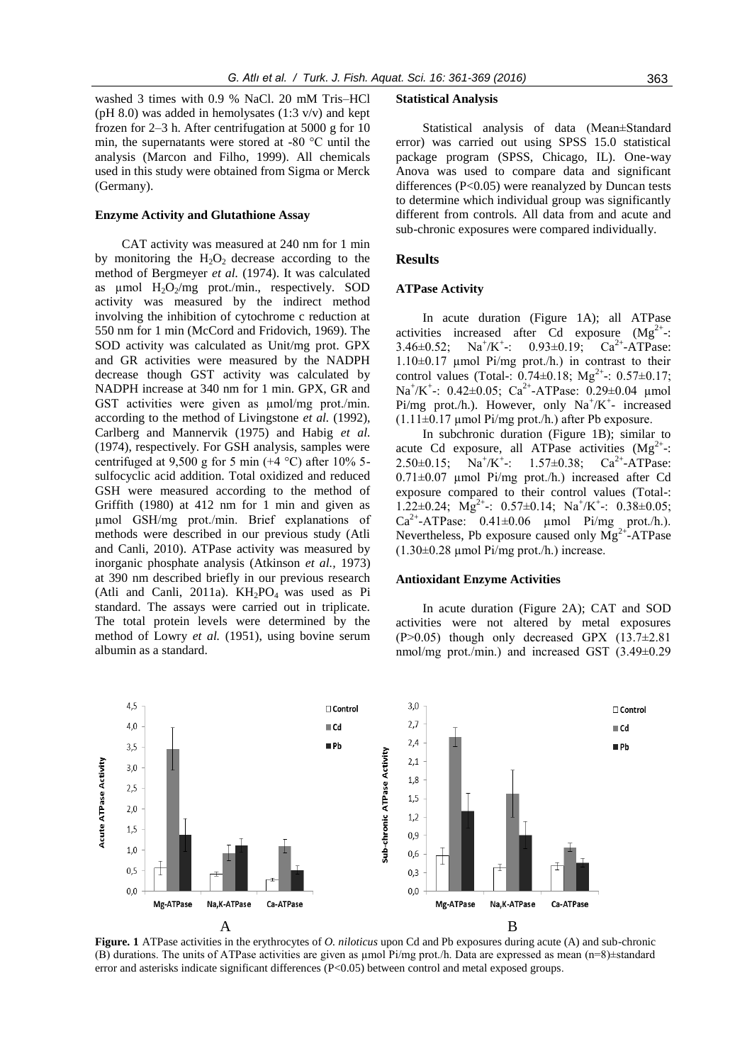washed 3 times with 0.9 % NaCl. 20 mM Tris–HCl (pH 8.0) was added in hemolysates  $(1:3 \text{ v/v})$  and kept frozen for 2–3 h. After centrifugation at 5000 g for 10 min, the supernatants were stored at -80 °C until the analysis (Marcon and Filho, 1999). All chemicals used in this study were obtained from Sigma or Merck (Germany).

#### **Enzyme Activity and Glutathione Assay**

CAT activity was measured at 240 nm for 1 min by monitoring the  $H_2O_2$  decrease according to the method of Bergmeyer *et al.* (1974). It was calculated as  $\mu$ mol H<sub>2</sub>O<sub>2</sub>/mg prot./min., respectively. SOD activity was measured by the indirect method involving the inhibition of cytochrome c reduction at 550 nm for 1 min (McCord and Fridovich, 1969). The SOD activity was calculated as Unit/mg prot. GPX and GR activities were measured by the NADPH decrease though GST activity was calculated by NADPH increase at 340 nm for 1 min. GPX, GR and GST activities were given as µmol/mg prot./min. according to the method of Livingstone *et al.* (1992), Carlberg and Mannervik (1975) and Habig *et al.* (1974), respectively. For GSH analysis, samples were centrifuged at 9,500 g for 5 min (+4 °C) after 10% 5sulfocyclic acid addition. Total oxidized and reduced GSH were measured according to the method of Griffith (1980) at 412 nm for 1 min and given as µmol GSH/mg prot./min. Brief explanations of methods were described in our previous study (Atli and Canli, 2010). ATPase activity was measured by inorganic phosphate analysis (Atkinson *et al.,* 1973) at 390 nm described briefly in our previous research (Atli and Canli, 2011a).  $KH_2PO_4$  was used as Pi standard. The assays were carried out in triplicate. The total protein levels were determined by the method of Lowry *et al.* (1951), using bovine serum albumin as a standard.

#### **Statistical Analysis**

Statistical analysis of data (Mean±Standard error) was carried out using SPSS 15.0 statistical package program (SPSS, Chicago, IL). One-way Anova was used to compare data and significant differences (P<0.05) were reanalyzed by Duncan tests to determine which individual group was significantly different from controls. All data from and acute and sub-chronic exposures were compared individually.

## **Results**

#### **ATPase Activity**

In acute duration (Figure 1A); all ATPase activities increased after Cd exposure  $(Mg^{2+})$ :  $3.46 \pm 0.52$ ;  $/K^{\dagger}$ -: 0.93±0.19; Ca<sup>2+</sup>-ATPase: 1.10±0.17 µmol Pi/mg prot./h.) in contrast to their control values (Total-:  $0.74 \pm 0.18$ ; Mg<sup>2+</sup>-:  $0.57 \pm 0.17$ ; Na<sup>+</sup>/K<sup>+</sup>-: 0.42±0.05; Ca<sup>2+</sup>-ATPase: 0.29±0.04 µmol Pi/mg prot./h.). However, only  $Na^+/K^+$ - increased  $(1.11\pm0.17 \text{ \mu mol Pi/mg prot.}/h.)$  after Pb exposure.

In subchronic duration (Figure 1B); similar to acute Cd exposure, all ATPase activities  $(Mg^{2+})$ :  $2.50\pm0.15$ ; Na<sup>+</sup>/K<sup>+</sup>  $1.57\pm 0.38;$  $Ca^{2+}$ -ATPase:  $0.71\pm0.07$  umol Pi/mg prot./h.) increased after Cd exposure compared to their control values (Total-: 1.22 $\pm$ 0.24; Mg<sup>2+</sup>-: 0.57 $\pm$ 0.14; Na<sup>+</sup>/K<sup>+</sup>-: 0.38 $\pm$ 0.05;  $Ca^{2+}$ -ATPase:  $0.41 \pm 0.06$  µmol Pi/mg prot./h.). Nevertheless, Pb exposure caused only  $Mg^{2+}$ -ATPase  $(1.30\pm0.28 \mu \text{mol} \text{Pi/mg} \text{prot.}/\text{h.})$  increase.

#### **Antioxidant Enzyme Activities**

In acute duration (Figure 2A); CAT and SOD activities were not altered by metal exposures  $(P>0.05)$  though only decreased GPX  $(13.7\pm2.81)$ nmol/mg prot./min.) and increased GST (3.49±0.29



**Figure. 1** ATPase activities in the erythrocytes of *O. niloticus* upon Cd and Pb exposures during acute (A) and sub-chronic (B) durations. The units of ATPase activities are given as µmol Pi/mg prot./h. Data are expressed as mean (n=8)±standard error and asterisks indicate significant differences (P<0.05) between control and metal exposed groups.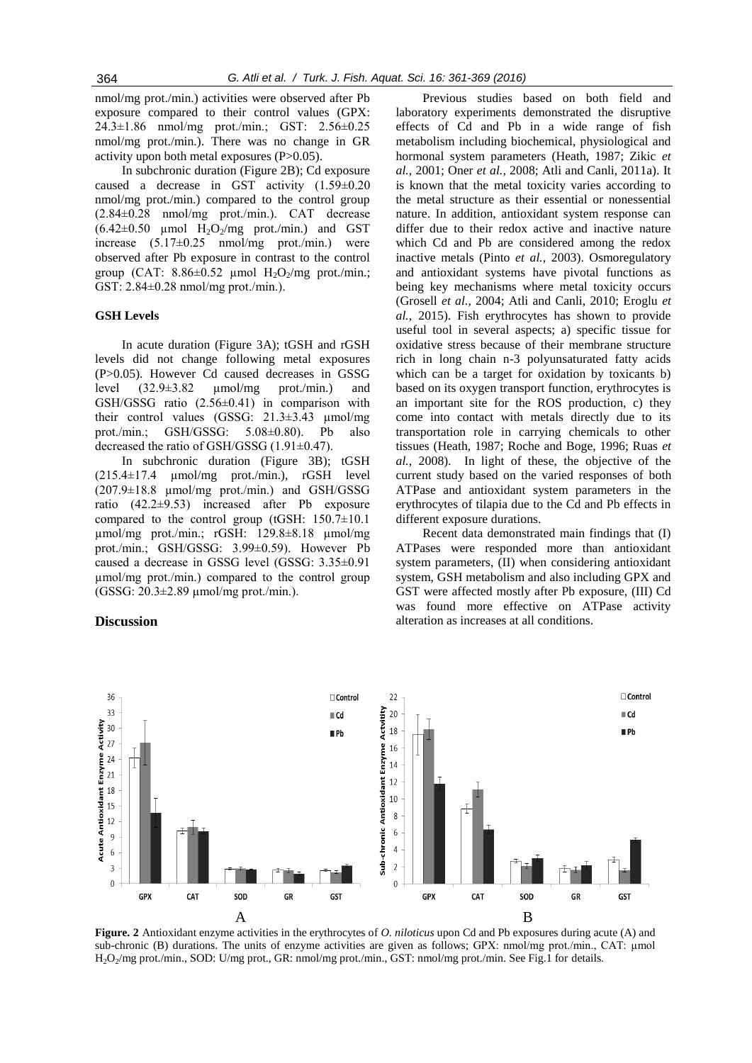nmol/mg prot./min.) activities were observed after Pb exposure compared to their control values (GPX: 24.3±1.86 nmol/mg prot./min.; GST: 2.56±0.25 nmol/mg prot./min.). There was no change in GR activity upon both metal exposures (P>0.05).

In subchronic duration (Figure 2B); Cd exposure caused a decrease in GST activity (1.59±0.20 nmol/mg prot./min.) compared to the control group (2.84±0.28 nmol/mg prot./min.). CAT decrease  $(6.42\pm0.50 \mu \text{mol} \text{H}_2\text{O}_2/\text{mg} \text{prot./min.})$  and GST increase (5.17±0.25 nmol/mg prot./min.) were observed after Pb exposure in contrast to the control group (CAT:  $8.86\pm0.52$  µmol  $H_2O_2/mg$  prot./min.; GST: 2.84±0.28 nmol/mg prot./min.).

#### **GSH Levels**

In acute duration (Figure 3A); tGSH and rGSH levels did not change following metal exposures (P>0.05). However Cd caused decreases in GSSG level (32.9±3.82 µmol/mg prot./min.) and GSH/GSSG ratio (2.56±0.41) in comparison with their control values (GSSG: 21.3±3.43 µmol/mg prot./min.; GSH/GSSG: 5.08±0.80). Pb also decreased the ratio of GSH/GSSG (1.91±0.47).

In subchronic duration (Figure 3B); tGSH (215.4±17.4 µmol/mg prot./min.), rGSH level (207.9±18.8 µmol/mg prot./min.) and GSH/GSSG ratio (42.2±9.53) increased after Pb exposure compared to the control group (tGSH: 150.7±10.1 µmol/mg prot./min.; rGSH: 129.8±8.18 µmol/mg prot./min.; GSH/GSSG: 3.99±0.59). However Pb caused a decrease in GSSG level (GSSG: 3.35±0.91 µmol/mg prot./min.) compared to the control group  $(GSSG: 20.3 \pm 2.89 \text{ umol/mg prot./min.}).$ 

Previous studies based on both field and laboratory experiments demonstrated the disruptive effects of Cd and Pb in a wide range of fish metabolism including biochemical, physiological and hormonal system parameters (Heath, 1987; Zikic *et al.,* 2001; Oner *et al.,* 2008; Atli and Canli, 2011a). It is known that the metal toxicity varies according to the metal structure as their essential or nonessential nature. In addition, antioxidant system response can differ due to their redox active and inactive nature which Cd and Pb are considered among the redox inactive metals (Pinto *et al.,* 2003). Osmoregulatory and antioxidant systems have pivotal functions as being key mechanisms where metal toxicity occurs (Grosell *et al.,* 2004; Atli and Canli, 2010; Eroglu *et al.,* 2015). Fish erythrocytes has shown to provide useful tool in several aspects; a) specific tissue for oxidative stress because of their membrane structure rich in long chain n-3 polyunsaturated fatty acids which can be a target for oxidation by toxicants b) based on its oxygen transport function, erythrocytes is an important site for the ROS production, c) they come into contact with metals directly due to its transportation role in carrying chemicals to other tissues (Heath, 1987; Roche and Boge, 1996; Ruas *et al.,* 2008). In light of these, the objective of the current study based on the varied responses of both ATPase and antioxidant system parameters in the erythrocytes of tilapia due to the Cd and Pb effects in different exposure durations.

Recent data demonstrated main findings that (I) ATPases were responded more than antioxidant system parameters, (II) when considering antioxidant system, GSH metabolism and also including GPX and GST were affected mostly after Pb exposure, (III) Cd was found more effective on ATPase activity alteration as increases at all conditions.



**Figure. 2** Antioxidant enzyme activities in the erythrocytes of *O. niloticus* upon Cd and Pb exposures during acute (A) and sub-chronic (B) durations. The units of enzyme activities are given as follows; GPX: nmol/mg prot./min., CAT: µmol H2O<sup>2</sup> /mg prot./min., SOD: U/mg prot., GR: nmol/mg prot./min., GST: nmol/mg prot./min. See Fig.1 for details.

#### **Discussion**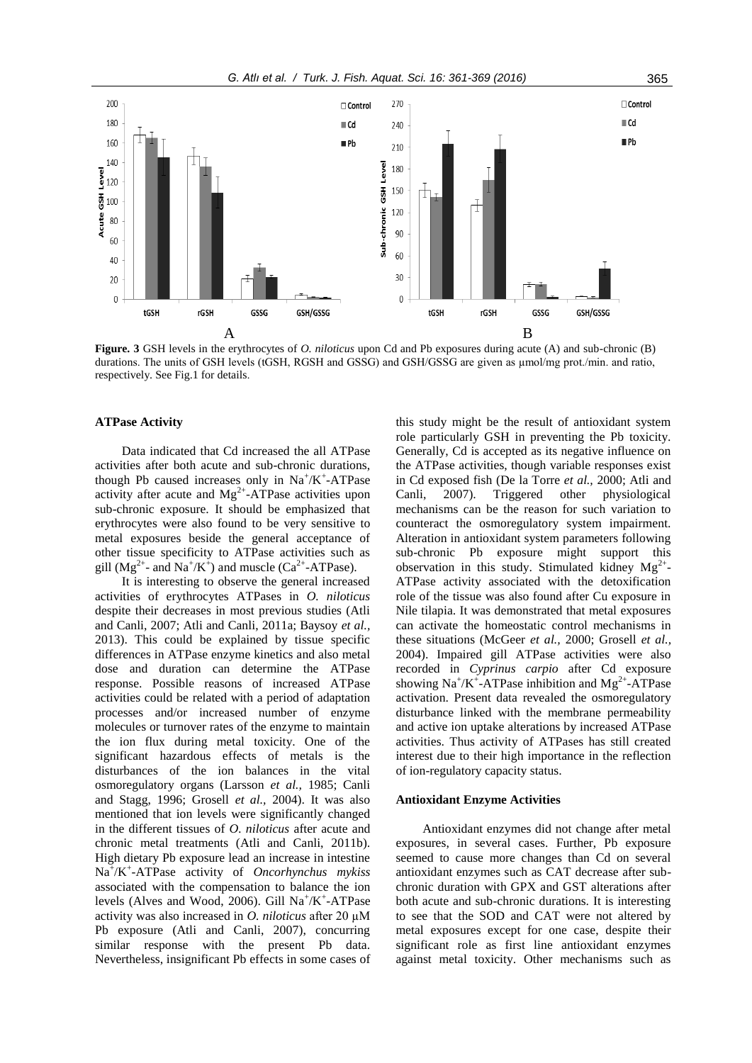

**Figure. 3** GSH levels in the erythrocytes of *O. niloticus* upon Cd and Pb exposures during acute (A) and sub-chronic (B) durations. The units of GSH levels (tGSH, RGSH and GSSG) and GSH/GSSG are given as  $\mu$ mol/mg prot./min. and ratio, respectively. See Fig.1 for details.

#### **ATPase Activity**

Data indicated that Cd increased the all ATPase activities after both acute and sub-chronic durations, though Pb caused increases only in  $Na^+/K^+$ -ATPase activity after acute and  $Mg^{2+}$ -ATPase activities upon sub-chronic exposure. It should be emphasized that erythrocytes were also found to be very sensitive to metal exposures beside the general acceptance of other tissue specificity to ATPase activities such as gill (Mg<sup>2+</sup>- and Na<sup>+</sup>/K<sup>+</sup>) and muscle (Ca<sup>2+</sup>-ATPase).

It is interesting to observe the general increased activities of erythrocytes ATPases in *O. niloticus*  despite their decreases in most previous studies (Atli and Canli, 2007; Atli and Canli, 2011a; Baysoy *et al.,* 2013). This could be explained by tissue specific differences in ATPase enzyme kinetics and also metal dose and duration can determine the ATPase response. Possible reasons of increased ATPase activities could be related with a period of adaptation processes and/or increased number of enzyme molecules or turnover rates of the enzyme to maintain the ion flux during metal toxicity. One of the significant hazardous effects of metals is the disturbances of the ion balances in the vital osmoregulatory organs (Larsson *et al.,* 1985; Canli and Stagg, 1996; Grosell *et al.,* 2004). It was also mentioned that ion levels were significantly changed in the different tissues of *O. niloticus* after acute and chronic metal treatments (Atli and Canli, 2011b). High dietary Pb exposure lead an increase in intestine Na<sup>+</sup> /K<sup>+</sup> -ATPase activity of *Oncorhynchus mykiss* associated with the compensation to balance the ion levels (Alves and Wood, 2006). Gill  $Na^+/K^+$ -ATPase activity was also increased in *O. niloticus* after 20 µM Pb exposure (Atli and Canli, 2007), concurring similar response with the present Pb data. Nevertheless, insignificant Pb effects in some cases of

this study might be the result of antioxidant system role particularly GSH in preventing the Pb toxicity. Generally, Cd is accepted as its negative influence on the ATPase activities, though variable responses exist in Cd exposed fish (De la Torre *et al.,* 2000; Atli and Canli, 2007). Triggered other physiological mechanisms can be the reason for such variation to counteract the osmoregulatory system impairment. Alteration in antioxidant system parameters following sub-chronic Pb exposure might support this observation in this study. Stimulated kidney  $Mg^{2+}$ . ATPase activity associated with the detoxification role of the tissue was also found after Cu exposure in Nile tilapia. It was demonstrated that metal exposures can activate the homeostatic control mechanisms in these situations (McGeer *et al.,* 2000; Grosell *et al.,* 2004). Impaired gill ATPase activities were also recorded in *Cyprinus carpio* after Cd exposure showing  $\text{Na}^{\dagger}/\text{K}^{\dagger}$ -ATPase inhibition and Mg<sup>2+</sup>-ATPase activation. Present data revealed the osmoregulatory disturbance linked with the membrane permeability and active ion uptake alterations by increased ATPase activities. Thus activity of ATPases has still created interest due to their high importance in the reflection of ion-regulatory capacity status.

#### **Antioxidant Enzyme Activities**

Antioxidant enzymes did not change after metal exposures, in several cases. Further, Pb exposure seemed to cause more changes than Cd on several antioxidant enzymes such as CAT decrease after subchronic duration with GPX and GST alterations after both acute and sub-chronic durations. It is interesting to see that the SOD and CAT were not altered by metal exposures except for one case, despite their significant role as first line antioxidant enzymes against metal toxicity. Other mechanisms such as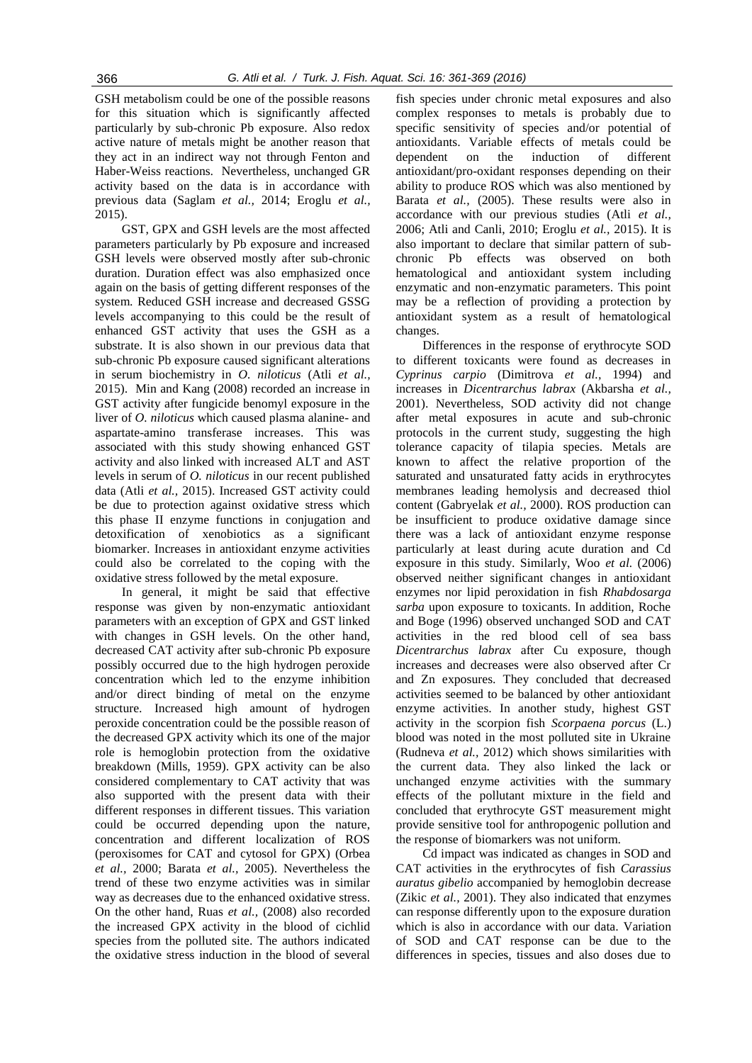GSH metabolism could be one of the possible reasons for this situation which is significantly affected particularly by sub-chronic Pb exposure. Also redox active nature of metals might be another reason that they act in an indirect way not through Fenton and Haber-Weiss reactions. Nevertheless, unchanged GR activity based on the data is in accordance with previous data (Saglam *et al.,* 2014; Eroglu *et al.,* 2015).

GST, GPX and GSH levels are the most affected parameters particularly by Pb exposure and increased GSH levels were observed mostly after sub-chronic duration. Duration effect was also emphasized once again on the basis of getting different responses of the system. Reduced GSH increase and decreased GSSG levels accompanying to this could be the result of enhanced GST activity that uses the GSH as a substrate. It is also shown in our previous data that sub-chronic Pb exposure caused significant alterations in serum biochemistry in *O. niloticus* (Atli *et al.,* 2015). Min and Kang (2008) recorded an increase in GST activity after fungicide benomyl exposure in the liver of *O. niloticus* which caused plasma alanine- and aspartate-amino transferase increases. This was associated with this study showing enhanced GST activity and also linked with increased ALT and AST levels in serum of *O. niloticus* in our recent published data (Atli *et al.,* 2015). Increased GST activity could be due to protection against oxidative stress which this phase II enzyme functions in conjugation and detoxification of xenobiotics as a significant biomarker. Increases in antioxidant enzyme activities could also be correlated to the coping with the oxidative stress followed by the metal exposure.

In general, it might be said that effective response was given by non-enzymatic antioxidant parameters with an exception of GPX and GST linked with changes in GSH levels. On the other hand, decreased CAT activity after sub-chronic Pb exposure possibly occurred due to the high hydrogen peroxide concentration which led to the enzyme inhibition and/or direct binding of metal on the enzyme structure. Increased high amount of hydrogen peroxide concentration could be the possible reason of the decreased GPX activity which its one of the major role is hemoglobin protection from the oxidative breakdown (Mills, 1959). GPX activity can be also considered complementary to CAT activity that was also supported with the present data with their different responses in different tissues. This variation could be occurred depending upon the nature, concentration and different localization of ROS (peroxisomes for CAT and cytosol for GPX) (Orbea *et al.,* 2000; Barata *et al.,* 2005). Nevertheless the trend of these two enzyme activities was in similar way as decreases due to the enhanced oxidative stress. On the other hand, Ruas *et al.,* (2008) also recorded the increased GPX activity in the blood of cichlid species from the polluted site. The authors indicated the oxidative stress induction in the blood of several

fish species under chronic metal exposures and also complex responses to metals is probably due to specific sensitivity of species and/or potential of antioxidants. Variable effects of metals could be dependent on the induction of different antioxidant/pro-oxidant responses depending on their ability to produce ROS which was also mentioned by Barata *et al.,* (2005). These results were also in accordance with our previous studies (Atli *et al.,* 2006; Atli and Canli, 2010; Eroglu *et al.,* 2015). It is also important to declare that similar pattern of subchronic Pb effects was observed on both hematological and antioxidant system including enzymatic and non-enzymatic parameters. This point may be a reflection of providing a protection by antioxidant system as a result of hematological changes.

Differences in the response of erythrocyte SOD to different toxicants were found as decreases in *Cyprinus carpio* (Dimitrova *et al.,* 1994) and increases in *Dicentrarchus labrax* (Akbarsha *et al.,* 2001). Nevertheless, SOD activity did not change after metal exposures in acute and sub-chronic protocols in the current study, suggesting the high tolerance capacity of tilapia species. Metals are known to affect the relative proportion of the saturated and unsaturated fatty acids in erythrocytes membranes leading hemolysis and decreased thiol content (Gabryelak *et al.,* 2000). ROS production can be insufficient to produce oxidative damage since there was a lack of antioxidant enzyme response particularly at least during acute duration and Cd exposure in this study. Similarly, Woo *et al.* (2006) observed neither significant changes in antioxidant enzymes nor lipid peroxidation in fish *Rhabdosarga sarba* upon exposure to toxicants. In addition, Roche and Boge (1996) observed unchanged SOD and CAT activities in the red blood cell of sea bass *Dicentrarchus labrax* after Cu exposure, though increases and decreases were also observed after Cr and Zn exposures. They concluded that decreased activities seemed to be balanced by other antioxidant enzyme activities. In another study, highest GST activity in the scorpion fish *Scorpaena porcus* (L.) blood was noted in the most polluted site in Ukraine (Rudneva *et al.,* 2012) which shows similarities with the current data. They also linked the lack or unchanged enzyme activities with the summary effects of the pollutant mixture in the field and concluded that erythrocyte GST measurement might provide sensitive tool for anthropogenic pollution and the response of biomarkers was not uniform.

Cd impact was indicated as changes in SOD and CAT activities in the erythrocytes of fish *Carassius auratus gibelio* accompanied by hemoglobin decrease (Zikic *et al.,* 2001). They also indicated that enzymes can response differently upon to the exposure duration which is also in accordance with our data. Variation of SOD and CAT response can be due to the differences in species, tissues and also doses due to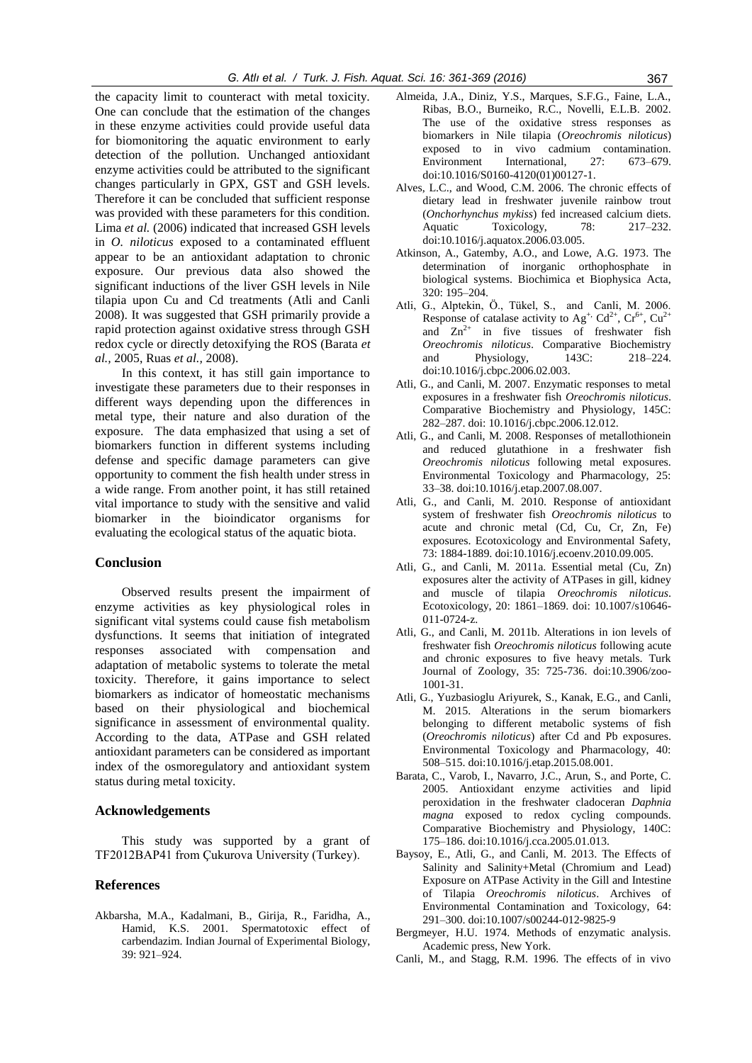the capacity limit to counteract with metal toxicity. One can conclude that the estimation of the changes in these enzyme activities could provide useful data for biomonitoring the aquatic environment to early detection of the pollution. Unchanged antioxidant enzyme activities could be attributed to the significant changes particularly in GPX, GST and GSH levels. Therefore it can be concluded that sufficient response was provided with these parameters for this condition. Lima *et al.* (2006) indicated that increased GSH levels in *O. niloticus* exposed to a contaminated effluent appear to be an antioxidant adaptation to chronic exposure. Our previous data also showed the significant inductions of the liver GSH levels in Nile tilapia upon Cu and Cd treatments (Atli and Canli 2008). It was suggested that GSH primarily provide a rapid protection against oxidative stress through GSH redox cycle or directly detoxifying the ROS (Barata *et al.,* 2005, Ruas *et al.,* 2008).

In this context, it has still gain importance to investigate these parameters due to their responses in different ways depending upon the differences in metal type, their nature and also duration of the exposure. The data emphasized that using a set of biomarkers function in different systems including defense and specific damage parameters can give opportunity to comment the fish health under stress in a wide range. From another point, it has still retained vital importance to study with the sensitive and valid biomarker in the bioindicator organisms for evaluating the ecological status of the aquatic biota.

## **Conclusion**

Observed results present the impairment of enzyme activities as key physiological roles in significant vital systems could cause fish metabolism dysfunctions. It seems that initiation of integrated responses associated with compensation and adaptation of metabolic systems to tolerate the metal toxicity. Therefore, it gains importance to select biomarkers as indicator of homeostatic mechanisms based on their physiological and biochemical significance in assessment of environmental quality. According to the data, ATPase and GSH related antioxidant parameters can be considered as important index of the osmoregulatory and antioxidant system status during metal toxicity.

## **Acknowledgements**

This study was supported by a grant of TF2012BAP41 from Çukurova University (Turkey).

## **References**

Akbarsha, M.A., Kadalmani, B., Girija, R., Faridha, A., Hamid, K.S. 2001. Spermatotoxic effect of carbendazim. Indian Journal of Experimental Biology, 39: 921–924.

- Almeida, J.A., Diniz, Y.S., Marques, S.F.G., Faine, L.A., Ribas, B.O., Burneiko, R.C., Novelli, E.L.B. 2002. The use of the oxidative stress responses as biomarkers in Nile tilapia (*Oreochromis niloticus*) exposed to in vivo cadmium contamination. Environment International, 27: 673–679. doi:10.1016/S0160-4120(01)00127-1.
- Alves, L.C., and Wood, C.M. 2006. The chronic effects of dietary lead in freshwater juvenile rainbow trout (*Onchorhynchus mykiss*) fed increased calcium diets. Aquatic Toxicology, 78: 217–232. doi:10.1016/j.aquatox.2006.03.005.
- Atkinson, A., Gatemby, A.O., and Lowe, A.G. 1973. The determination of inorganic orthophosphate in biological systems. Biochimica et Biophysica Acta, 320: 195–204.
- Atli, G., Alptekin, Ö., Tükel, S., and Canli, M. 2006. Response of catalase activity to Ag<sup>+,</sup> Cd<sup>2+</sup>, Cr<sup>6+</sup>, Cu<sup>2+</sup> and  $Zn^{2+}$  in five tissues of freshwater fish *Oreochromis niloticus*. Comparative Biochemistry and Physiology, 143C: 218–224. doi:10.1016/j.cbpc.2006.02.003.
- Atli, G., and Canli, M. 2007. Enzymatic responses to metal exposures in a freshwater fish *Oreochromis niloticus*. Comparative Biochemistry and Physiology, 145C: 282–287. doi: 10.1016/j.cbpc.2006.12.012.
- Atli, G., and Canli, M. 2008. Responses of metallothionein and reduced glutathione in a freshwater fish *Oreochromis niloticus* following metal exposures. Environmental Toxicology and Pharmacology, 25: 33–38. doi:10.1016/j.etap.2007.08.007.
- Atli, G., and Canli, M. 2010. Response of antioxidant system of freshwater fish *Oreochromis niloticus* to acute and chronic metal (Cd, Cu, Cr, Zn, Fe) exposures. Ecotoxicology and Environmental Safety, 73: 1884-1889. doi:10.1016/j.ecoenv.2010.09.005.
- Atli, G., and Canli, M. 2011a. Essential metal (Cu, Zn) exposures alter the activity of ATPases in gill, kidney and muscle of tilapia *Oreochromis niloticus*. Ecotoxicology, 20: 1861–1869. doi: 10.1007/s10646- 011-0724-z.
- Atli, G., and Canli, M. 2011b. Alterations in ion levels of freshwater fish *Oreochromis niloticus* following acute and chronic exposures to five heavy metals. Turk Journal of Zoology, 35: 725-736. doi:10.3906/zoo-1001-31.
- Atli, G., Yuzbasioglu Ariyurek, S., Kanak, E.G., and Canli, M. 2015. Alterations in the serum biomarkers belonging to different metabolic systems of fish (*Oreochromis niloticus*) after Cd and Pb exposures. Environmental Toxicology and Pharmacology, 40: 508–515. doi:10.1016/j.etap.2015.08.001.
- Barata, C., Varob, I., Navarro, J.C., Arun, S., and Porte, C. 2005. Antioxidant enzyme activities and lipid peroxidation in the freshwater cladoceran *Daphnia magna* exposed to redox cycling compounds. Comparative Biochemistry and Physiology, 140C: 175–186. doi:10.1016/j.cca.2005.01.013.
- Baysoy, E., Atli, G., and Canli, M. 2013. The Effects of Salinity and Salinity+Metal (Chromium and Lead) Exposure on ATPase Activity in the Gill and Intestine of Tilapia *Oreochromis niloticus*. Archives of Environmental Contamination and Toxicology, 64: 291–300. doi:10.1007/s00244-012-9825-9
- Bergmeyer, H.U. 1974. Methods of enzymatic analysis. Academic press, New York.
- Canli, M., and Stagg, R.M. 1996. The effects of in vivo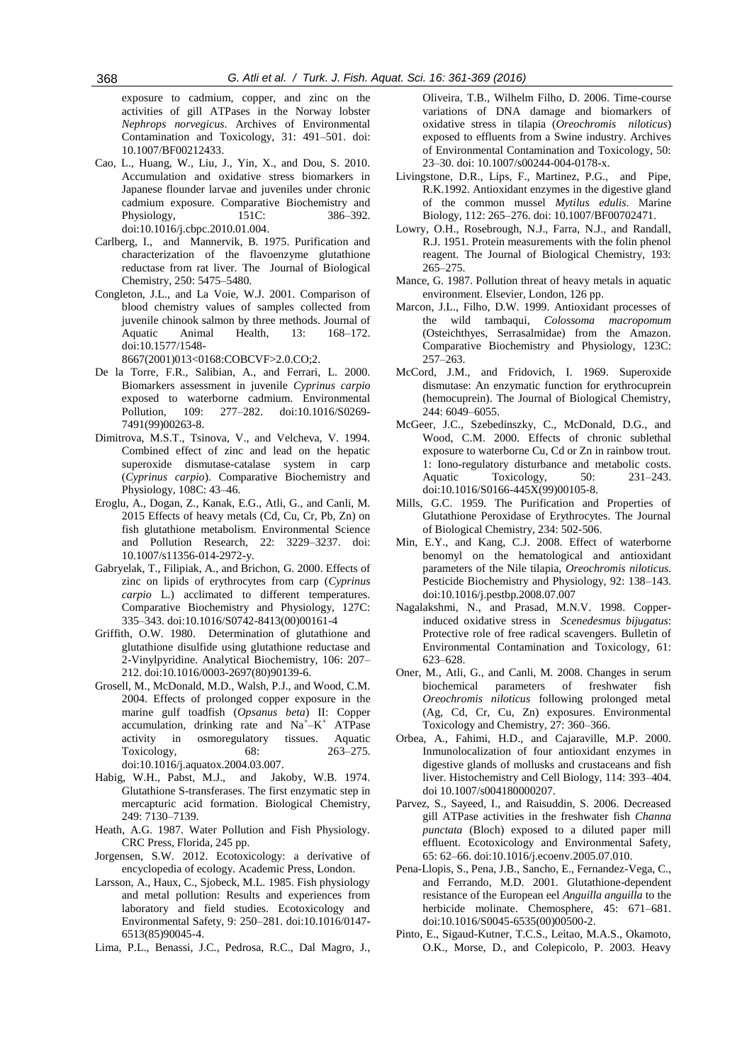exposure to cadmium, copper, and zinc on the activities of gill ATPases in the Norway lobster *Nephrops norvegicus*. Archives of Environmental Contamination and Toxicology, 31: 491–501. doi: 10.1007/BF00212433.

- Cao, L., Huang, W., Liu, J., Yin, X., and Dou, S. 2010. Accumulation and oxidative stress biomarkers in Japanese flounder larvae and juveniles under chronic cadmium exposure. Comparative Biochemistry and Physiology, 151C: 386–392. doi:10.1016/j.cbpc.2010.01.004.
- Carlberg, I., and Mannervik, B. 1975. Purification and characterization of the flavoenzyme glutathione reductase from rat liver. The Journal of Biological Chemistry, 250: 5475–5480.
- Congleton, J.L., and La Voie, W.J. 2001. Comparison of blood chemistry values of samples collected from juvenile chinook salmon by three methods. Journal of Aquatic Animal Health, 13: 168–172. doi:10.1577/1548-

8667(2001)013<0168:COBCVF>2.0.CO;2.

- De la Torre, F.R., Salibian, A., and Ferrari, L. 2000. Biomarkers assessment in juvenile *Cyprinus carpio* exposed to waterborne cadmium. Environmental Pollution, 109: 277–282. doi:10.1016/S0269- 7491(99)00263-8.
- Dimitrova, M.S.T., Tsinova, V., and Velcheva, V. 1994. Combined effect of zinc and lead on the hepatic superoxide dismutase-catalase system in carp (*Cyprinus carpio*). Comparative Biochemistry and Physiology, 108C: 43–46.
- Eroglu, A., Dogan, Z., Kanak, E.G., Atli, G., and Canli, M. 2015 Effects of heavy metals (Cd, Cu, Cr, Pb, Zn) on fish glutathione metabolism. Environmental Science and Pollution Research, 22: 3229–3237. doi: 10.1007/s11356-014-2972-y.
- Gabryelak, T., Filipiak, A., and Brichon, G. 2000. Effects of zinc on lipids of erythrocytes from carp (*Cyprinus carpio* L.) acclimated to different temperatures. Comparative Biochemistry and Physiology, 127C: 335–343. doi:10.1016/S0742-8413(00)00161-4
- Griffith, O.W. 1980. Determination of glutathione and glutathione disulfide using glutathione reductase and 2-Vinylpyridine. Analytical Biochemistry, 106: 207– 212. doi:10.1016/0003-2697(80)90139-6.
- Grosell, M., McDonald, M.D., Walsh, P.J., and Wood, C.M. 2004. Effects of prolonged copper exposure in the marine gulf toadfish (*Opsanus beta*) II: Copper accumulation, drinking rate and  $Na^+ - K^+$  ATPase activity in osmoregulatory tissues. Aquatic Toxicology, 68: 263–275. doi:10.1016/j.aquatox.2004.03.007.
- Habig, W.H., Pabst, M.J., and Jakoby, W.B. 1974. Glutathione S-transferases. The first enzymatic step in mercapturic acid formation. Biological Chemistry, 249: 7130–7139.
- Heath, A.G. 1987. Water Pollution and Fish Physiology. CRC Press, Florida, 245 pp.
- Jorgensen, S.W. 2012. Ecotoxicology: a derivative of encyclopedia of ecology. Academic Press, London.
- Larsson, A., Haux, C., Sjobeck, M.L. 1985. Fish physiology and metal pollution: Results and experiences from laboratory and field studies. Ecotoxicology and Environmental Safety, 9: 250–281. doi:10.1016/0147- 6513(85)90045-4.
- Lima, P.L., Benassi, J.C., Pedrosa, R.C., Dal Magro, J.,

Oliveira, T.B., Wilhelm Filho, D. 2006. Time-course variations of DNA damage and biomarkers of oxidative stress in tilapia (*Oreochromis niloticus*) exposed to effluents from a Swine industry. Archives of Environmental Contamination and Toxicology, 50: 23–30. doi: 10.1007/s00244-004-0178-x.

- Livingstone, D.R., Lips, F., Martinez, P.G., and Pipe, R.K.1992. Antioxidant enzymes in the digestive gland of the common mussel *Mytilus edulis*. Marine Biology, 112: 265–276. doi: 10.1007/BF00702471.
- Lowry, O.H., Rosebrough, N.J., Farra, N.J., and Randall, R.J. 1951. Protein measurements with the folin phenol reagent. The Journal of Biological Chemistry, 193: 265–275.
- Mance, G. 1987. Pollution threat of heavy metals in aquatic environment. Elsevier, London, 126 pp.
- Marcon, J.L., Filho, D.W. 1999. Antioxidant processes of the wild tambaqui, *Colossoma macropomum* (Osteichthyes, Serrasalmidae) from the Amazon. Comparative Biochemistry and Physiology, 123C: 257–263.
- McCord, J.M., and Fridovich, I. 1969. Superoxide dismutase: An enzymatic function for erythrocuprein (hemocuprein). The Journal of Biological Chemistry, 244: 6049–6055.
- McGeer, J.C., Szebedinszky, C., McDonald, D.G., and Wood, C.M. 2000. Effects of chronic sublethal exposure to waterborne Cu, Cd or Zn in rainbow trout. 1: Iono-regulatory disturbance and metabolic costs. Aquatic Toxicology, 50: 231–243. doi:10.1016/S0166-445X(99)00105-8.
- Mills, G.C. 1959. The Purification and Properties of Glutathione Peroxidase of Erythrocytes. The Journal of Biological Chemistry, 234: 502-506.
- Min, E.Y., and Kang, C.J. 2008. Effect of waterborne benomyl on the hematological and antioxidant parameters of the Nile tilapia, *Oreochromis niloticus*. Pesticide Biochemistry and Physiology, 92: 138–143. doi:10.1016/j.pestbp.2008.07.007
- Nagalakshmi, N., and Prasad, M.N.V. 1998. Copperinduced oxidative stress in *Scenedesmus bijugatus*: Protective role of free radical scavengers. Bulletin of Environmental Contamination and Toxicology, 61: 623–628.
- Oner, M., Atli, G., and Canli, M. 2008. Changes in serum biochemical parameters of freshwater fish *Oreochromis niloticus* following prolonged metal (Ag, Cd, Cr, Cu, Zn) exposures. Environmental Toxicology and Chemistry, 27: 360–366.
- Orbea, A., Fahimi, H.D., and Cajaraville, M.P. 2000. Inmunolocalization of four antioxidant enzymes in digestive glands of mollusks and crustaceans and fish liver. Histochemistry and Cell Biology, 114: 393–404. doi 10.1007/s004180000207.
- Parvez, S., Sayeed, I., and Raisuddin, S. 2006. Decreased gill ATPase activities in the freshwater fish *Channa punctata* (Bloch) exposed to a diluted paper mill effluent. Ecotoxicology and Environmental Safety, 65: 62–66. doi:10.1016/j.ecoenv.2005.07.010.
- Pena-Llopis, S., Pena, J.B., Sancho, E., Fernandez-Vega, C., and Ferrando, M.D. 2001. Glutathione-dependent resistance of the European eel *Anguilla anguilla* to the herbicide molinate. Chemosphere, 45: 671–681. doi:10.1016/S0045-6535(00)00500-2.
- Pinto, E., Sigaud-Kutner, T.C.S., Leitao, M.A.S., Okamoto, O.K., Morse, D., and Colepicolo, P. 2003. Heavy